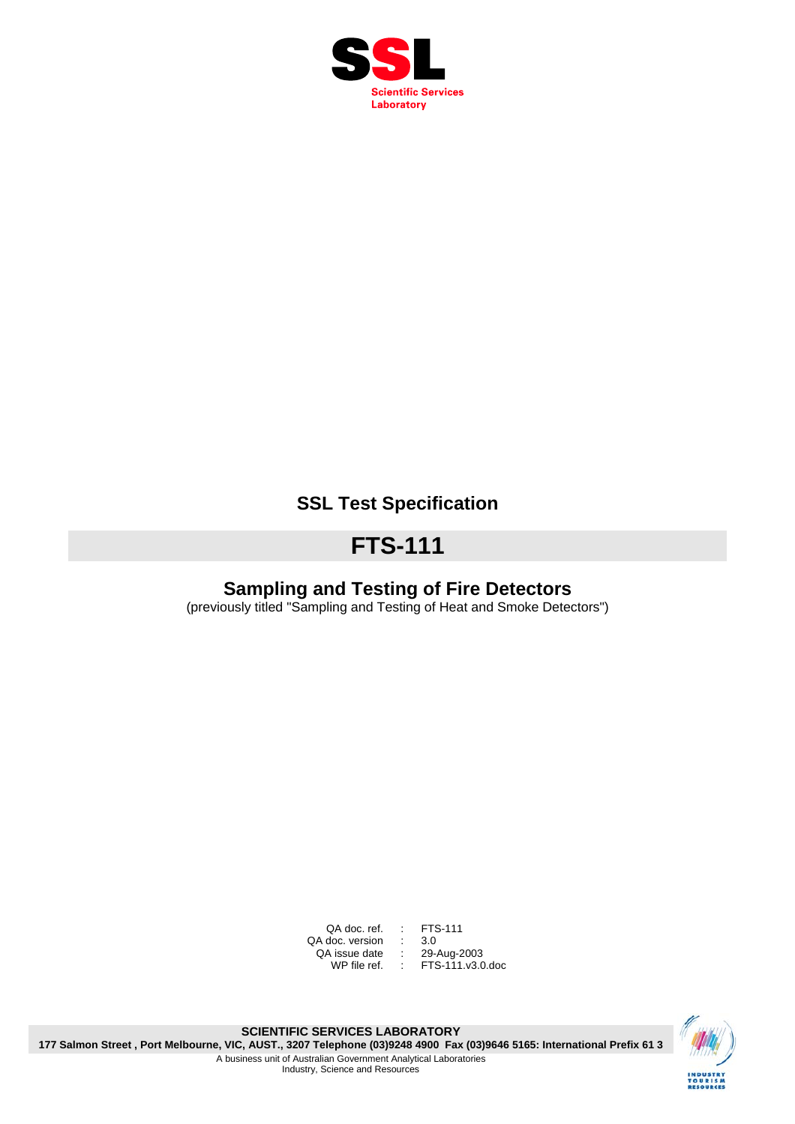

# **SSL Test Specification**

# **FTS-111**

# **Sampling and Testing of Fire Detectors**

(previously titled "Sampling and Testing of Heat and Smoke Detectors")

QA doc. ref. : FTS-111<br>doc. version : 3.0 QA doc. version : 3.0<br>QA issue date : 29-Aug-2003 A doc. version<br>QA issue date :<br>29-WP file ref. :

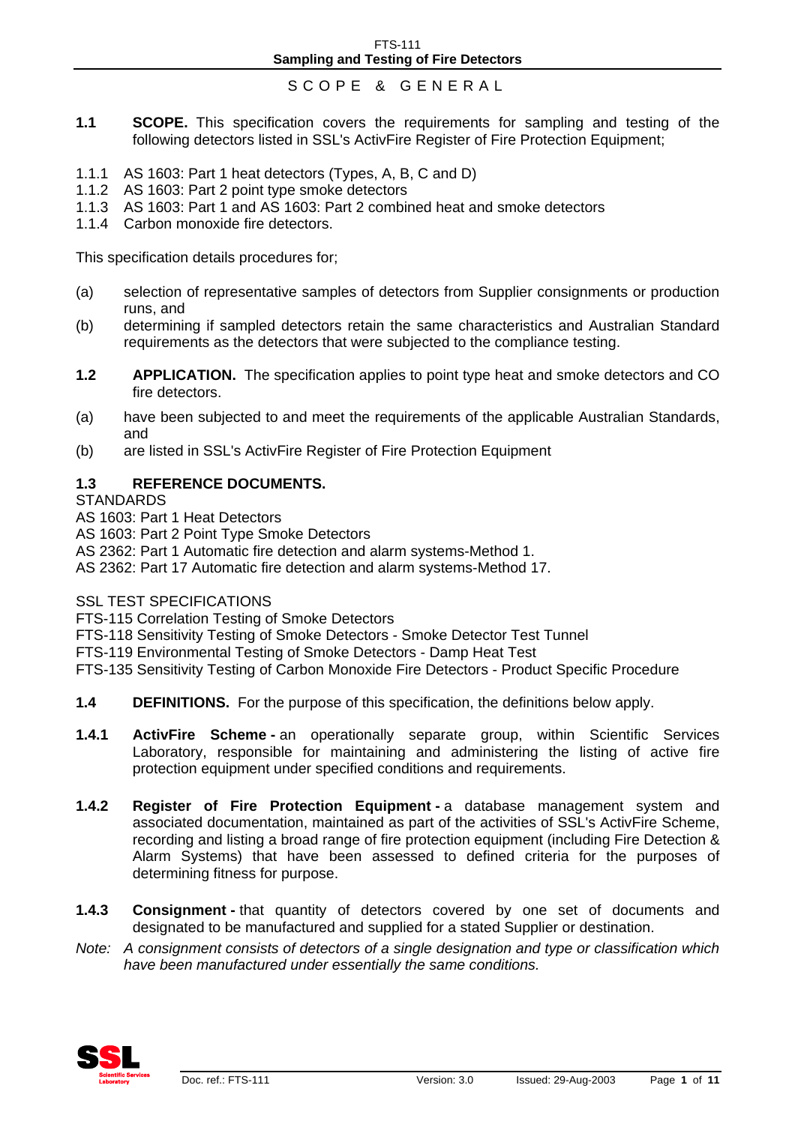## SCOPE & GENERAL

- **1.1 SCOPE.** This specification covers the requirements for sampling and testing of the following detectors listed in SSL's ActivFire Register of Fire Protection Equipment;
- 1.1.1 AS 1603: Part 1 heat detectors (Types, A, B, C and D)
- 1.1.2 AS 1603: Part 2 point type smoke detectors
- 1.1.3 AS 1603: Part 1 and AS 1603: Part 2 combined heat and smoke detectors
- 1.1.4 Carbon monoxide fire detectors.

This specification details procedures for;

- (a) selection of representative samples of detectors from Supplier consignments or production runs, and
- (b) determining if sampled detectors retain the same characteristics and Australian Standard requirements as the detectors that were subjected to the compliance testing.
- **1.2 APPLICATION.** The specification applies to point type heat and smoke detectors and CO fire detectors.
- (a) have been subjected to and meet the requirements of the applicable Australian Standards, and
- (b) are listed in SSL's ActivFire Register of Fire Protection Equipment

#### **1.3 REFERENCE DOCUMENTS.**

**STANDARDS** 

- AS 1603: Part 1 Heat Detectors
- AS 1603: Part 2 Point Type Smoke Detectors
- AS 2362: Part 1 Automatic fire detection and alarm systems-Method 1.

AS 2362: Part 17 Automatic fire detection and alarm systems-Method 17.

#### SSL TEST SPECIFICATIONS

FTS-115 Correlation Testing of Smoke Detectors

- FTS-118 Sensitivity Testing of Smoke Detectors Smoke Detector Test Tunnel
- FTS-119 Environmental Testing of Smoke Detectors Damp Heat Test

FTS-135 Sensitivity Testing of Carbon Monoxide Fire Detectors - Product Specific Procedure

- **1.4** DEFINITIONS. For the purpose of this specification, the definitions below apply.
- **1.4.1 ActivFire Scheme an operationally separate group, within Scientific Services** Laboratory, responsible for maintaining and administering the listing of active fire protection equipment under specified conditions and requirements.
- **1.4.2 Register of Fire Protection Equipment a database management system and** associated documentation, maintained as part of the activities of SSL's ActivFire Scheme, recording and listing a broad range of fire protection equipment (including Fire Detection & Alarm Systems) that have been assessed to defined criteria for the purposes of determining fitness for purpose.
- **1.4.3 Consignment** that quantity of detectors covered by one set of documents and designated to be manufactured and supplied for a stated Supplier or destination.
- *Note: A consignment consists of detectors of a single designation and type or classification which have been manufactured under essentially the same conditions.*

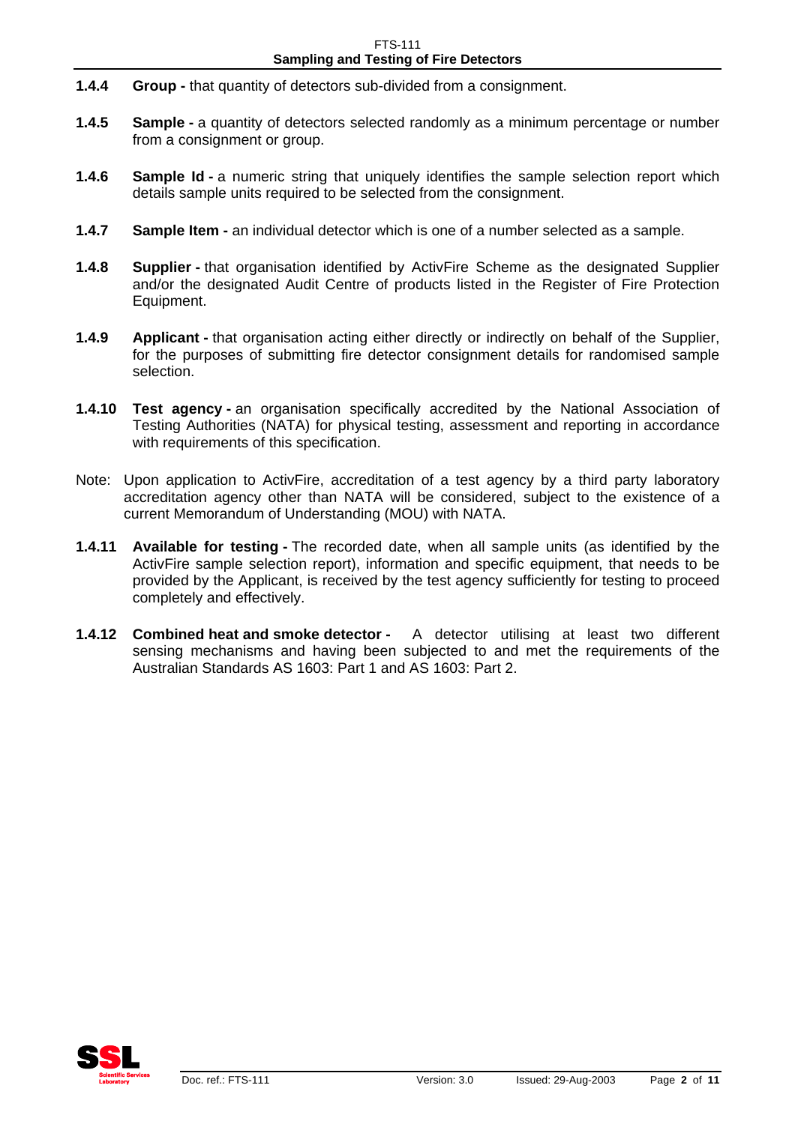- **1.4.4 Group** that quantity of detectors sub-divided from a consignment.
- **1.4.5 Sample a quantity of detectors selected randomly as a minimum percentage or number** from a consignment or group.
- **1.4.6 Sample Id a** numeric string that uniquely identifies the sample selection report which details sample units required to be selected from the consignment.
- **1.4.7 Sample Item** an individual detector which is one of a number selected as a sample.
- **1.4.8 Supplier -** that organisation identified by ActivFire Scheme as the designated Supplier and/or the designated Audit Centre of products listed in the Register of Fire Protection Equipment.
- **1.4.9 Applicant** that organisation acting either directly or indirectly on behalf of the Supplier, for the purposes of submitting fire detector consignment details for randomised sample selection.
- **1.4.10 Test agency** an organisation specifically accredited by the National Association of Testing Authorities (NATA) for physical testing, assessment and reporting in accordance with requirements of this specification.
- Note: Upon application to ActivFire, accreditation of a test agency by a third party laboratory accreditation agency other than NATA will be considered, subject to the existence of a current Memorandum of Understanding (MOU) with NATA.
- **1.4.11 Available for testing** The recorded date, when all sample units (as identified by the ActivFire sample selection report), information and specific equipment, that needs to be provided by the Applicant, is received by the test agency sufficiently for testing to proceed completely and effectively.
- **1.4.12 Combined heat and smoke detector -** A detector utilising at least two different sensing mechanisms and having been subjected to and met the requirements of the Australian Standards AS 1603: Part 1 and AS 1603: Part 2.

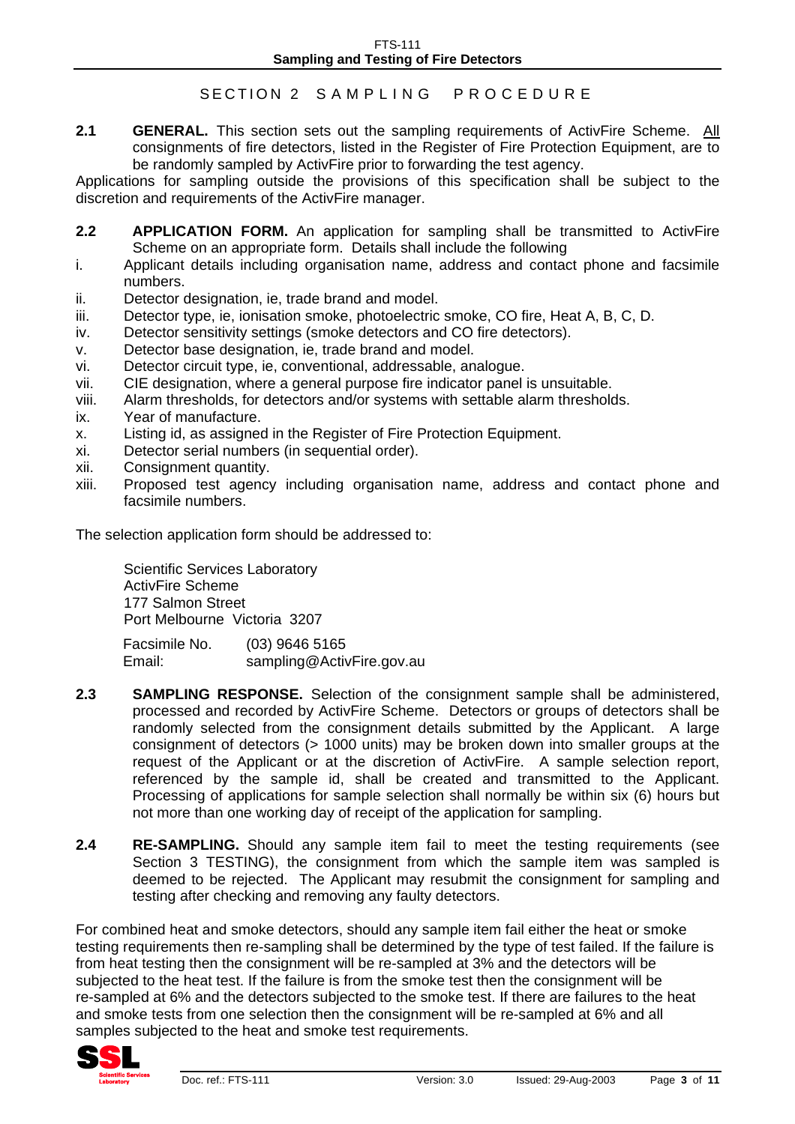#### FTS-111 **Sampling and Testing of Fire Detectors**

#### SECTION 2 SAMPLING PROCEDURE

2.1 **GENERAL.** This section sets out the sampling requirements of ActivFire Scheme. All consignments of fire detectors, listed in the Register of Fire Protection Equipment, are to be randomly sampled by ActivFire prior to forwarding the test agency.

Applications for sampling outside the provisions of this specification shall be subject to the discretion and requirements of the ActivFire manager.

- **2.2** APPLICATION FORM. An application for sampling shall be transmitted to ActivFire Scheme on an appropriate form. Details shall include the following
- i. Applicant details including organisation name, address and contact phone and facsimile numbers.
- ii. Detector designation, ie, trade brand and model.
- iii. Detector type, ie, ionisation smoke, photoelectric smoke, CO fire, Heat A, B, C, D.
- iv. Detector sensitivity settings (smoke detectors and CO fire detectors).
- v. Detector base designation, ie, trade brand and model.
- vi. Detector circuit type, ie, conventional, addressable, analogue.
- vii. CIE designation, where a general purpose fire indicator panel is unsuitable.
- viii. Alarm thresholds, for detectors and/or systems with settable alarm thresholds.
- ix. Year of manufacture.
- x. Listing id, as assigned in the Register of Fire Protection Equipment.
- xi. Detector serial numbers (in sequential order).
- xii. Consignment quantity.
- xiii. Proposed test agency including organisation name, address and contact phone and facsimile numbers.

The selection application form should be addressed to:

Scientific Services Laboratory ActivFire Scheme 177 Salmon Street Port Melbourne Victoria 3207

Facsimile No. (03) 9646 5165 Email: sampling@ActivFire.gov.au

- **2.3 SAMPLING RESPONSE.** Selection of the consignment sample shall be administered, processed and recorded by ActivFire Scheme. Detectors or groups of detectors shall be randomly selected from the consignment details submitted by the Applicant. A large consignment of detectors (> 1000 units) may be broken down into smaller groups at the request of the Applicant or at the discretion of ActivFire. A sample selection report, referenced by the sample id, shall be created and transmitted to the Applicant. Processing of applications for sample selection shall normally be within six (6) hours but not more than one working day of receipt of the application for sampling.
- **2.4 RE-SAMPLING.** Should any sample item fail to meet the testing requirements (see Section 3 TESTING), the consignment from which the sample item was sampled is deemed to be rejected. The Applicant may resubmit the consignment for sampling and testing after checking and removing any faulty detectors.

For combined heat and smoke detectors, should any sample item fail either the heat or smoke testing requirements then re-sampling shall be determined by the type of test failed. If the failure is from heat testing then the consignment will be re-sampled at 3% and the detectors will be subjected to the heat test. If the failure is from the smoke test then the consignment will be re-sampled at 6% and the detectors subjected to the smoke test. If there are failures to the heat and smoke tests from one selection then the consignment will be re-sampled at 6% and all samples subjected to the heat and smoke test requirements.

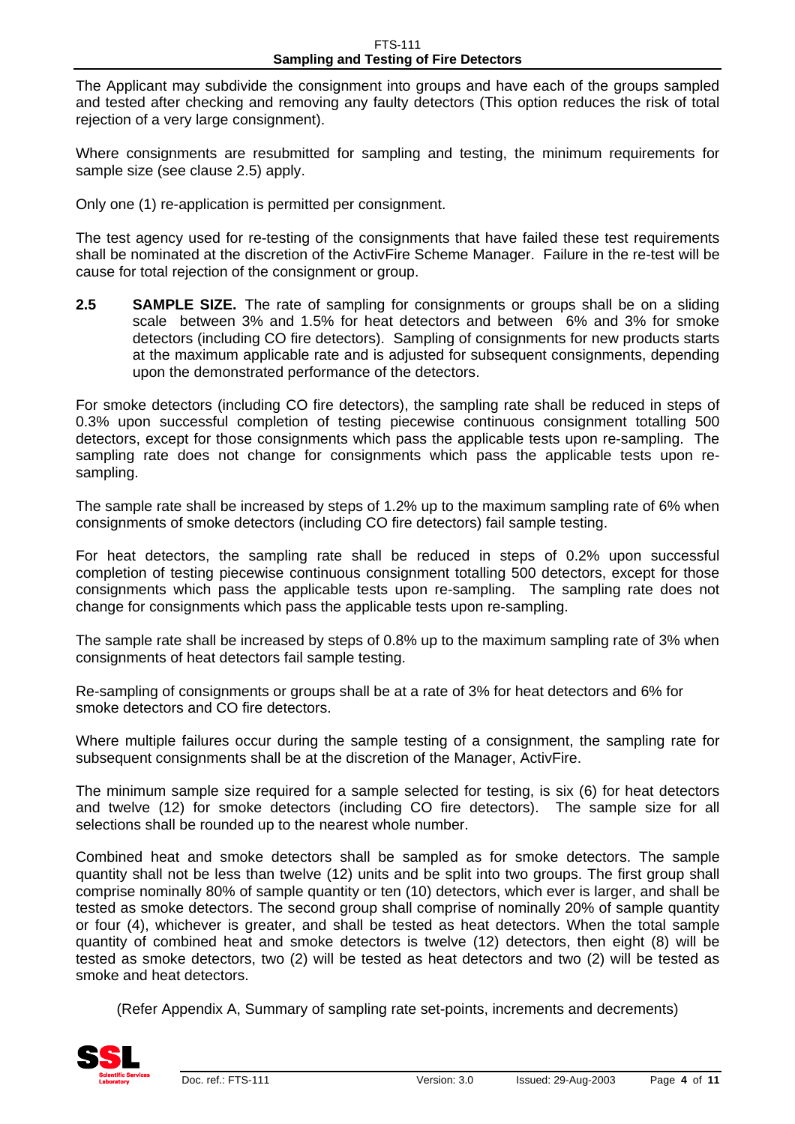The Applicant may subdivide the consignment into groups and have each of the groups sampled and tested after checking and removing any faulty detectors (This option reduces the risk of total rejection of a very large consignment).

Where consignments are resubmitted for sampling and testing, the minimum requirements for sample size (see clause 2.5) apply.

Only one (1) re-application is permitted per consignment.

The test agency used for re-testing of the consignments that have failed these test requirements shall be nominated at the discretion of the ActivFire Scheme Manager. Failure in the re-test will be cause for total rejection of the consignment or group.

**2.5 SAMPLE SIZE.** The rate of sampling for consignments or groups shall be on a sliding scale between 3% and 1.5% for heat detectors and between 6% and 3% for smoke detectors (including CO fire detectors). Sampling of consignments for new products starts at the maximum applicable rate and is adjusted for subsequent consignments, depending upon the demonstrated performance of the detectors.

For smoke detectors (including CO fire detectors), the sampling rate shall be reduced in steps of 0.3% upon successful completion of testing piecewise continuous consignment totalling 500 detectors, except for those consignments which pass the applicable tests upon re-sampling. The sampling rate does not change for consignments which pass the applicable tests upon resampling.

The sample rate shall be increased by steps of 1.2% up to the maximum sampling rate of 6% when consignments of smoke detectors (including CO fire detectors) fail sample testing.

For heat detectors, the sampling rate shall be reduced in steps of 0.2% upon successful completion of testing piecewise continuous consignment totalling 500 detectors, except for those consignments which pass the applicable tests upon re-sampling. The sampling rate does not change for consignments which pass the applicable tests upon re-sampling.

The sample rate shall be increased by steps of 0.8% up to the maximum sampling rate of 3% when consignments of heat detectors fail sample testing.

Re-sampling of consignments or groups shall be at a rate of 3% for heat detectors and 6% for smoke detectors and CO fire detectors.

Where multiple failures occur during the sample testing of a consignment, the sampling rate for subsequent consignments shall be at the discretion of the Manager, ActivFire.

The minimum sample size required for a sample selected for testing, is six (6) for heat detectors and twelve (12) for smoke detectors (including CO fire detectors). The sample size for all selections shall be rounded up to the nearest whole number.

Combined heat and smoke detectors shall be sampled as for smoke detectors. The sample quantity shall not be less than twelve (12) units and be split into two groups. The first group shall comprise nominally 80% of sample quantity or ten (10) detectors, which ever is larger, and shall be tested as smoke detectors. The second group shall comprise of nominally 20% of sample quantity or four (4), whichever is greater, and shall be tested as heat detectors. When the total sample quantity of combined heat and smoke detectors is twelve (12) detectors, then eight (8) will be tested as smoke detectors, two (2) will be tested as heat detectors and two (2) will be tested as smoke and heat detectors.

(Refer Appendix A, Summary of sampling rate set-points, increments and decrements)

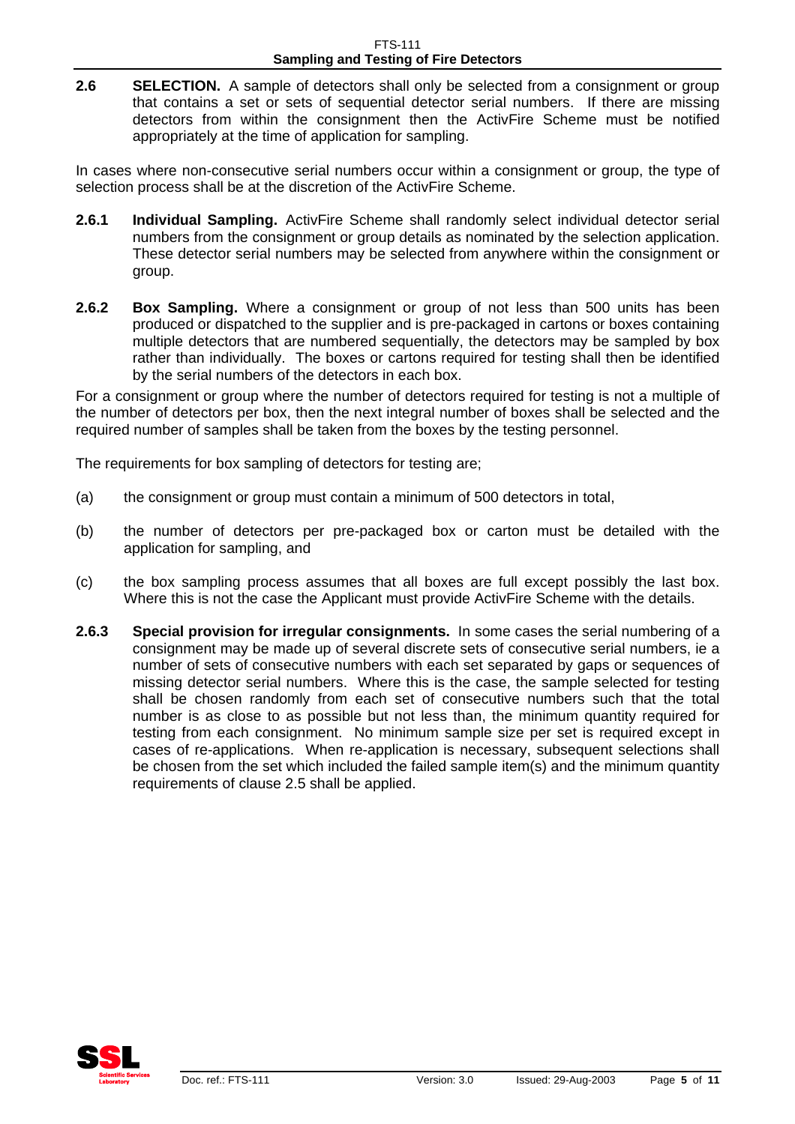**2.6 SELECTION.** A sample of detectors shall only be selected from a consignment or group that contains a set or sets of sequential detector serial numbers. If there are missing detectors from within the consignment then the ActivFire Scheme must be notified appropriately at the time of application for sampling.

In cases where non-consecutive serial numbers occur within a consignment or group, the type of selection process shall be at the discretion of the ActivFire Scheme.

- **2.6.1 Individual Sampling.** ActivFire Scheme shall randomly select individual detector serial numbers from the consignment or group details as nominated by the selection application. These detector serial numbers may be selected from anywhere within the consignment or group.
- **2.6.2 Box Sampling.** Where a consignment or group of not less than 500 units has been produced or dispatched to the supplier and is pre-packaged in cartons or boxes containing multiple detectors that are numbered sequentially, the detectors may be sampled by box rather than individually. The boxes or cartons required for testing shall then be identified by the serial numbers of the detectors in each box.

For a consignment or group where the number of detectors required for testing is not a multiple of the number of detectors per box, then the next integral number of boxes shall be selected and the required number of samples shall be taken from the boxes by the testing personnel.

The requirements for box sampling of detectors for testing are;

- (a) the consignment or group must contain a minimum of 500 detectors in total,
- (b) the number of detectors per pre-packaged box or carton must be detailed with the application for sampling, and
- (c) the box sampling process assumes that all boxes are full except possibly the last box. Where this is not the case the Applicant must provide ActivFire Scheme with the details.
- **2.6.3 Special provision for irregular consignments.** In some cases the serial numbering of a consignment may be made up of several discrete sets of consecutive serial numbers, ie a number of sets of consecutive numbers with each set separated by gaps or sequences of missing detector serial numbers. Where this is the case, the sample selected for testing shall be chosen randomly from each set of consecutive numbers such that the total number is as close to as possible but not less than, the minimum quantity required for testing from each consignment. No minimum sample size per set is required except in cases of re-applications. When re-application is necessary, subsequent selections shall be chosen from the set which included the failed sample item(s) and the minimum quantity requirements of clause 2.5 shall be applied.

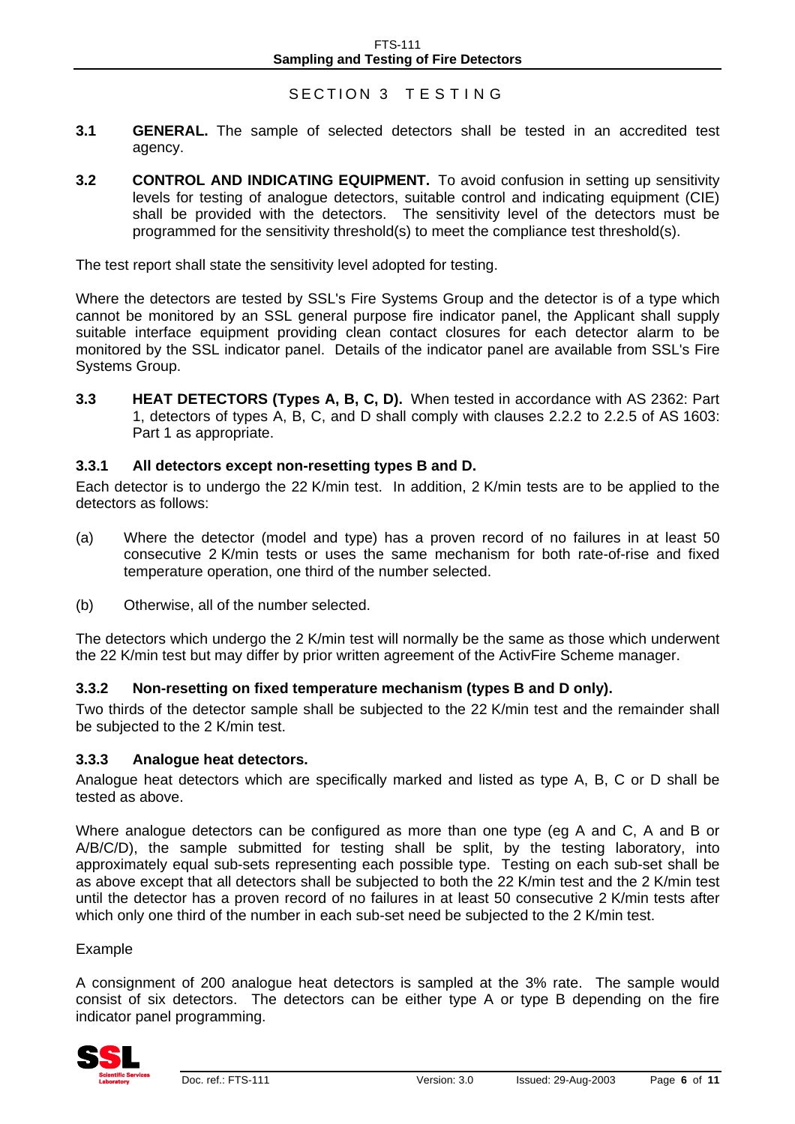### SECTION 3 TESTING

- **3.1 GENERAL.** The sample of selected detectors shall be tested in an accredited test agency.
- **3.2 CONTROL AND INDICATING EQUIPMENT.** To avoid confusion in setting up sensitivity levels for testing of analogue detectors, suitable control and indicating equipment (CIE) shall be provided with the detectors. The sensitivity level of the detectors must be programmed for the sensitivity threshold(s) to meet the compliance test threshold(s).

The test report shall state the sensitivity level adopted for testing.

Where the detectors are tested by SSL's Fire Systems Group and the detector is of a type which cannot be monitored by an SSL general purpose fire indicator panel, the Applicant shall supply suitable interface equipment providing clean contact closures for each detector alarm to be monitored by the SSL indicator panel. Details of the indicator panel are available from SSL's Fire Systems Group.

**3.3 HEAT DETECTORS (Types A, B, C, D).** When tested in accordance with AS 2362: Part 1, detectors of types A, B, C, and D shall comply with clauses 2.2.2 to 2.2.5 of AS 1603: Part 1 as appropriate.

#### **3.3.1 All detectors except non-resetting types B and D.**

Each detector is to undergo the 22 K/min test. In addition, 2 K/min tests are to be applied to the detectors as follows:

- (a) Where the detector (model and type) has a proven record of no failures in at least 50 consecutive 2 K/min tests or uses the same mechanism for both rate-of-rise and fixed temperature operation, one third of the number selected.
- (b) Otherwise, all of the number selected.

The detectors which undergo the 2 K/min test will normally be the same as those which underwent the 22 K/min test but may differ by prior written agreement of the ActivFire Scheme manager.

#### **3.3.2 Non-resetting on fixed temperature mechanism (types B and D only).**

Two thirds of the detector sample shall be subjected to the 22 K/min test and the remainder shall be subjected to the 2 K/min test.

#### **3.3.3 Analogue heat detectors.**

Analogue heat detectors which are specifically marked and listed as type A, B, C or D shall be tested as above.

Where analogue detectors can be configured as more than one type (eg A and C, A and B or A/B/C/D), the sample submitted for testing shall be split, by the testing laboratory, into approximately equal sub-sets representing each possible type. Testing on each sub-set shall be as above except that all detectors shall be subjected to both the 22 K/min test and the 2 K/min test until the detector has a proven record of no failures in at least 50 consecutive 2 K/min tests after which only one third of the number in each sub-set need be subjected to the 2 K/min test.

#### Example

A consignment of 200 analogue heat detectors is sampled at the 3% rate. The sample would consist of six detectors. The detectors can be either type A or type B depending on the fire indicator panel programming.

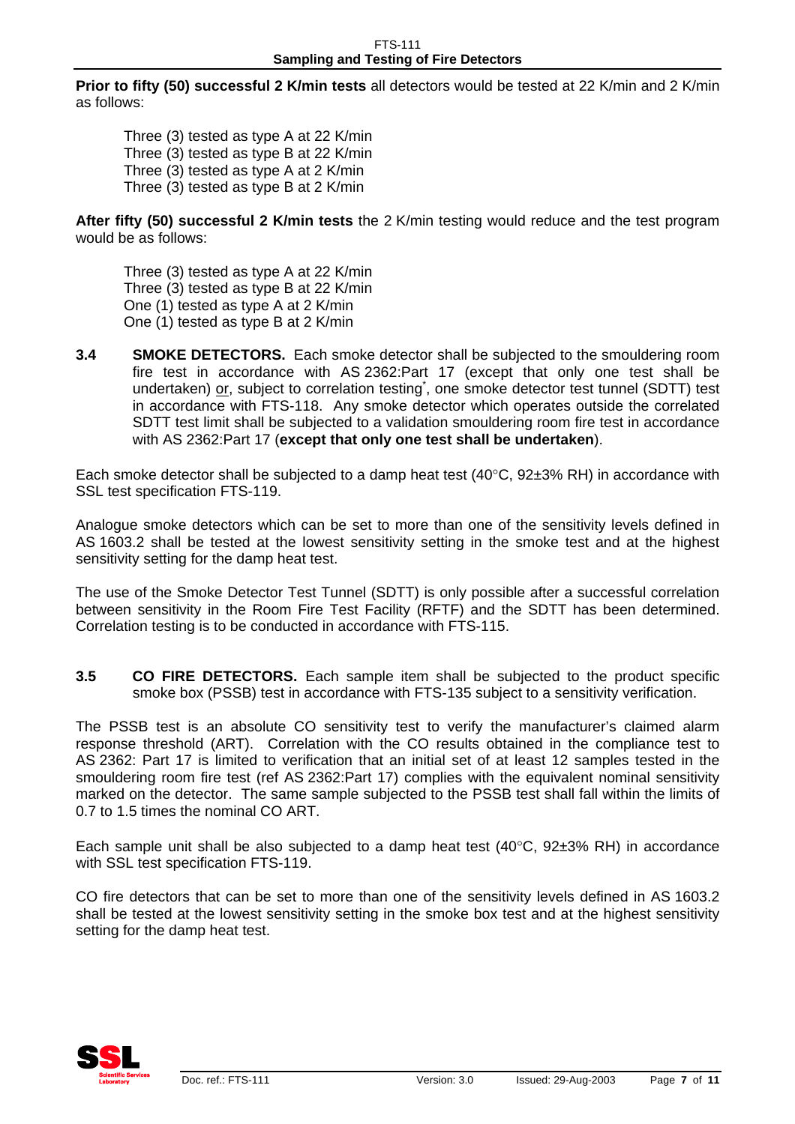**Prior to fifty (50) successful 2 K/min tests** all detectors would be tested at 22 K/min and 2 K/min as follows:

Three (3) tested as type A at 22 K/min Three (3) tested as type B at 22 K/min Three (3) tested as type A at 2 K/min Three (3) tested as type B at 2 K/min

**After fifty (50) successful 2 K/min tests** the 2 K/min testing would reduce and the test program would be as follows:

Three (3) tested as type A at 22 K/min Three (3) tested as type B at 22 K/min One (1) tested as type A at 2 K/min One (1) tested as type B at 2 K/min

**3.4 SMOKE DETECTORS.** Each smoke detector shall be subjected to the smouldering room fire test in accordance with AS 2362:Part 17 (except that only one test shall be undertaken) or, subject to correlation testing<sup>\*</sup>, one smoke detector test tunnel (SDTT) test in accordance with FTS-118. Any smoke detector which operates outside the correlated SDTT test limit shall be subjected to a validation smouldering room fire test in accordance with AS 2362:Part 17 (**except that only one test shall be undertaken**).

Each smoke detector shall be subjected to a damp heat test  $(40^{\circ}C, 92\pm3\% \text{ RH})$  in accordance with SSL test specification FTS-119.

Analogue smoke detectors which can be set to more than one of the sensitivity levels defined in AS 1603.2 shall be tested at the lowest sensitivity setting in the smoke test and at the highest sensitivity setting for the damp heat test.

The use of the Smoke Detector Test Tunnel (SDTT) is only possible after a successful correlation between sensitivity in the Room Fire Test Facility (RFTF) and the SDTT has been determined. Correlation testing is to be conducted in accordance with FTS-115.

**3.5 CO FIRE DETECTORS.** Each sample item shall be subjected to the product specific smoke box (PSSB) test in accordance with FTS-135 subject to a sensitivity verification.

The PSSB test is an absolute CO sensitivity test to verify the manufacturer's claimed alarm response threshold (ART). Correlation with the CO results obtained in the compliance test to AS 2362: Part 17 is limited to verification that an initial set of at least 12 samples tested in the smouldering room fire test (ref AS 2362:Part 17) complies with the equivalent nominal sensitivity marked on the detector. The same sample subjected to the PSSB test shall fall within the limits of 0.7 to 1.5 times the nominal CO ART.

Each sample unit shall be also subjected to a damp heat test  $(40^{\circ}C, 92\pm3\% \text{ RH})$  in accordance with SSL test specification FTS-119.

CO fire detectors that can be set to more than one of the sensitivity levels defined in AS 1603.2 shall be tested at the lowest sensitivity setting in the smoke box test and at the highest sensitivity setting for the damp heat test.

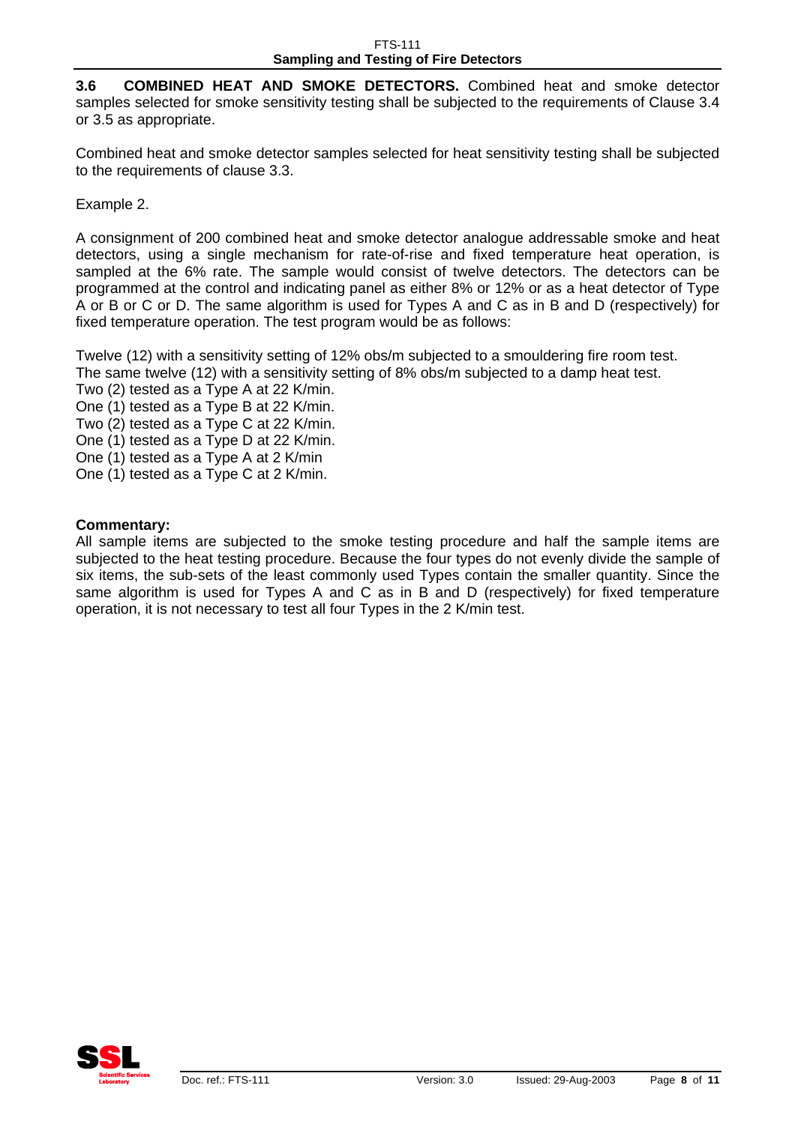**3.6 COMBINED HEAT AND SMOKE DETECTORS.** Combined heat and smoke detector samples selected for smoke sensitivity testing shall be subjected to the requirements of Clause 3.4 or 3.5 as appropriate.

Combined heat and smoke detector samples selected for heat sensitivity testing shall be subjected to the requirements of clause 3.3.

Example 2.

A consignment of 200 combined heat and smoke detector analogue addressable smoke and heat detectors, using a single mechanism for rate-of-rise and fixed temperature heat operation, is sampled at the 6% rate. The sample would consist of twelve detectors. The detectors can be programmed at the control and indicating panel as either 8% or 12% or as a heat detector of Type A or B or C or D. The same algorithm is used for Types A and C as in B and D (respectively) for fixed temperature operation. The test program would be as follows:

Twelve (12) with a sensitivity setting of 12% obs/m subjected to a smouldering fire room test. The same twelve (12) with a sensitivity setting of 8% obs/m subjected to a damp heat test.

Two (2) tested as a Type A at 22 K/min.

One (1) tested as a Type B at 22 K/min.

Two (2) tested as a Type C at 22 K/min.

One (1) tested as a Type D at 22 K/min.

One (1) tested as a Type A at 2 K/min

One (1) tested as a Type C at 2 K/min.

#### **Commentary:**

All sample items are subjected to the smoke testing procedure and half the sample items are subjected to the heat testing procedure. Because the four types do not evenly divide the sample of six items, the sub-sets of the least commonly used Types contain the smaller quantity. Since the same algorithm is used for Types A and C as in B and D (respectively) for fixed temperature operation, it is not necessary to test all four Types in the 2 K/min test.

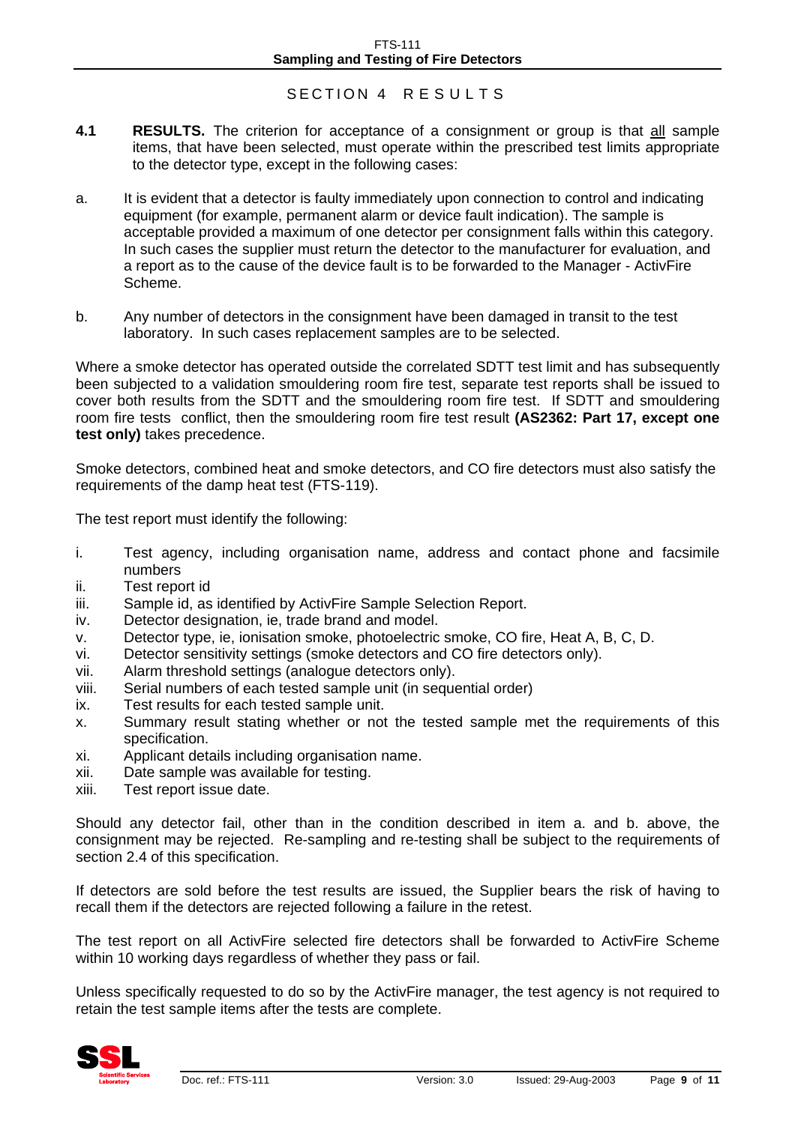#### SECTION 4 RESULTS

- **4.1 RESULTS.** The criterion for acceptance of a consignment or group is that all sample items, that have been selected, must operate within the prescribed test limits appropriate to the detector type, except in the following cases:
- a. It is evident that a detector is faulty immediately upon connection to control and indicating equipment (for example, permanent alarm or device fault indication). The sample is acceptable provided a maximum of one detector per consignment falls within this category. In such cases the supplier must return the detector to the manufacturer for evaluation, and a report as to the cause of the device fault is to be forwarded to the Manager - ActivFire Scheme.
- b. Any number of detectors in the consignment have been damaged in transit to the test laboratory. In such cases replacement samples are to be selected.

Where a smoke detector has operated outside the correlated SDTT test limit and has subsequently been subjected to a validation smouldering room fire test, separate test reports shall be issued to cover both results from the SDTT and the smouldering room fire test. If SDTT and smouldering room fire tests conflict, then the smouldering room fire test result **(AS2362: Part 17, except one test only)** takes precedence.

Smoke detectors, combined heat and smoke detectors, and CO fire detectors must also satisfy the requirements of the damp heat test (FTS-119).

The test report must identify the following:

- i. Test agency, including organisation name, address and contact phone and facsimile numbers
- ii. Test report id
- iii. Sample id, as identified by ActivFire Sample Selection Report.
- iv. Detector designation, ie, trade brand and model.
- v. Detector type, ie, ionisation smoke, photoelectric smoke, CO fire, Heat A, B, C, D.
- vi. Detector sensitivity settings (smoke detectors and CO fire detectors only).
- vii. Alarm threshold settings (analogue detectors only).
- viii. Serial numbers of each tested sample unit (in sequential order)
- ix. Test results for each tested sample unit.
- x. Summary result stating whether or not the tested sample met the requirements of this specification.
- xi. Applicant details including organisation name.
- xii. Date sample was available for testing.
- xiii. Test report issue date.

Should any detector fail, other than in the condition described in item a. and b. above, the consignment may be rejected. Re-sampling and re-testing shall be subject to the requirements of section 2.4 of this specification.

If detectors are sold before the test results are issued, the Supplier bears the risk of having to recall them if the detectors are rejected following a failure in the retest.

The test report on all ActivFire selected fire detectors shall be forwarded to ActivFire Scheme within 10 working days regardless of whether they pass or fail.

Unless specifically requested to do so by the ActivFire manager, the test agency is not required to retain the test sample items after the tests are complete.

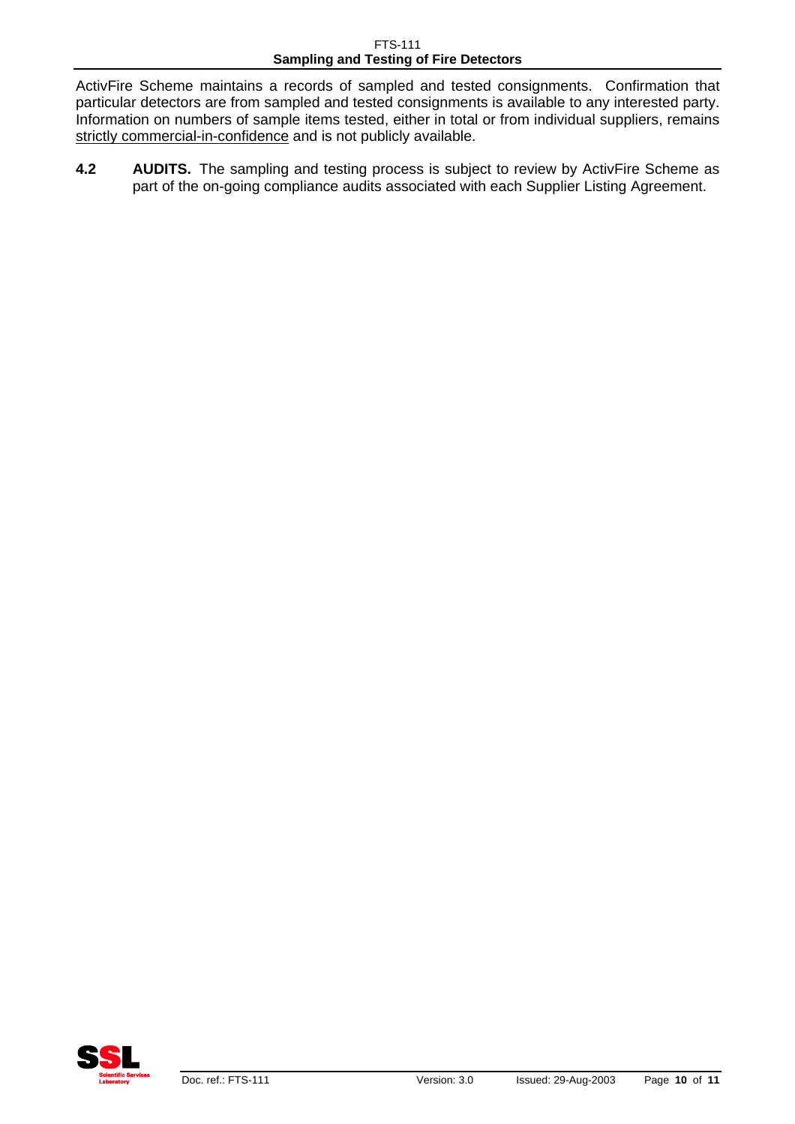FTS-111 **Sampling and Testing of Fire Detectors** 

ActivFire Scheme maintains a records of sampled and tested consignments. Confirmation that particular detectors are from sampled and tested consignments is available to any interested party. Information on numbers of sample items tested, either in total or from individual suppliers, remains strictly commercial-in-confidence and is not publicly available.

**4.2 AUDITS.** The sampling and testing process is subject to review by ActivFire Scheme as part of the on-going compliance audits associated with each Supplier Listing Agreement.